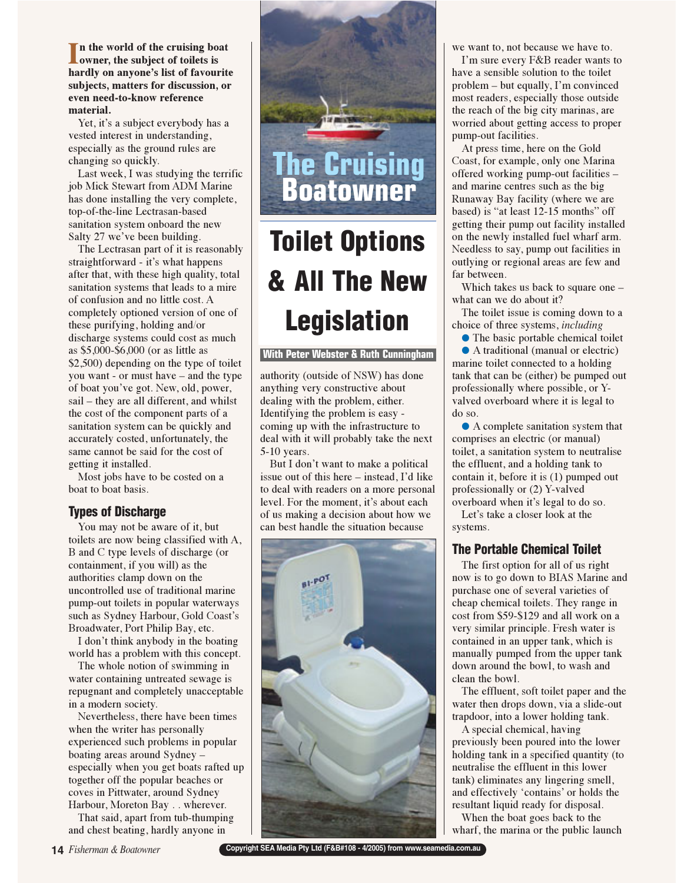In the world of the cruising bo<br>
owner, the subject of toilets is **n the world of the cruising boat hardly on anyone's list of favourite subjects, matters for discussion, or even need-to-know reference material.**

Yet, it's a subject everybody has a vested interest in understanding, especially as the ground rules are changing so quickly.

Last week, I was studying the terrific job Mick Stewart from ADM Marine has done installing the very complete, top-of-the-line Lectrasan-based sanitation system onboard the new Salty 27 we've been building.

The Lectrasan part of it is reasonably straightforward - it's what happens after that, with these high quality, total sanitation systems that leads to a mire of confusion and no little cost. A completely optioned version of one of these purifying, holding and/or discharge systems could cost as much as \$5,000-\$6,000 (or as little as \$2,500) depending on the type of toilet you want - or must have – and the type of boat you've got. New, old, power, sail – they are all different, and whilst the cost of the component parts of a sanitation system can be quickly and accurately costed, unfortunately, the same cannot be said for the cost of getting it installed.

Most jobs have to be costed on a boat to boat basis.

### **Types of Discharge**

You may not be aware of it, but toilets are now being classified with A, B and C type levels of discharge (or containment, if you will) as the authorities clamp down on the uncontrolled use of traditional marine pump-out toilets in popular waterways such as Sydney Harbour, Gold Coast's Broadwater, Port Philip Bay, etc.

I don't think anybody in the boating world has a problem with this concept.

The whole notion of swimming in water containing untreated sewage is repugnant and completely unacceptable in a modern society.

Nevertheless, there have been times when the writer has personally experienced such problems in popular boating areas around Sydney – especially when you get boats rafted up together off the popular beaches or coves in Pittwater, around Sydney Harbour, Moreton Bay . . wherever.

That said, apart from tub-thumping and chest beating, hardly anyone in



# Up To Our **& All The New Lenislation Toilet Options Legislation**

### **With Peter Webster & Ruth Cunningham With Peter Webster & Ruth Cunningham**

authority (outside of NSW) has done anything very constructive about dealing with the problem, either. Identifying the problem is easy coming up with the infrastructure to deal with it will probably take the next 5-10 years.

But I don't want to make a political issue out of this here – instead, I'd like to deal with readers on a more personal level. For the moment, it's about each of us making a decision about how we can best handle the situation because



we want to, not because we have to.

I'm sure every F&B reader wants to have a sensible solution to the toilet problem – but equally, I'm convinced most readers, especially those outside the reach of the big city marinas, are worried about getting access to proper pump-out facilities.

At press time, here on the Gold Coast, for example, only one Marina offered working pump-out facilities – and marine centres such as the big Runaway Bay facility (where we are based) is "at least 12-15 months" off getting their pump out facility installed on the newly installed fuel wharf arm. Needless to say, pump out facilities in outlying or regional areas are few and far between.

Which takes us back to square one – what can we do about it?

The toilet issue is coming down to a choice of three systems, *including* 

● The basic portable chemical toilet ● A traditional (manual or electric) marine toilet connected to a holding tank that can be (either) be pumped out professionally where possible, or Yvalved overboard where it is legal to do so.

● A complete sanitation system that comprises an electric (or manual) toilet, a sanitation system to neutralise the effluent, and a holding tank to contain it, before it is (1) pumped out professionally or (2) Y-valved

overboard when it's legal to do so. Let's take a closer look at the systems.

The first option for all of us right now is to go down to BIAS Marine and purchase one of several varieties of cheap chemical toilets. They range in cost from \$59-\$129 and all work on a very similar principle. Fresh water is contained in an upper tank, which is manually pumped from the upper tank down around the bowl, to wash and clean the bowl.

The effluent, soft toilet paper and the water then drops down, via a slide-out trapdoor, into a lower holding tank.

A special chemical, having previously been poured into the lower holding tank in a specified quantity (to neutralise the effluent in this lower tank) eliminates any lingering smell, and effectively 'contains' or holds the resultant liquid ready for disposal.

When the boat goes back to the wharf, the marina or the public launch

**Copyright SEA Media Pty Ltd (F&B#108 - 4/2005) from www.seamedia.com.au**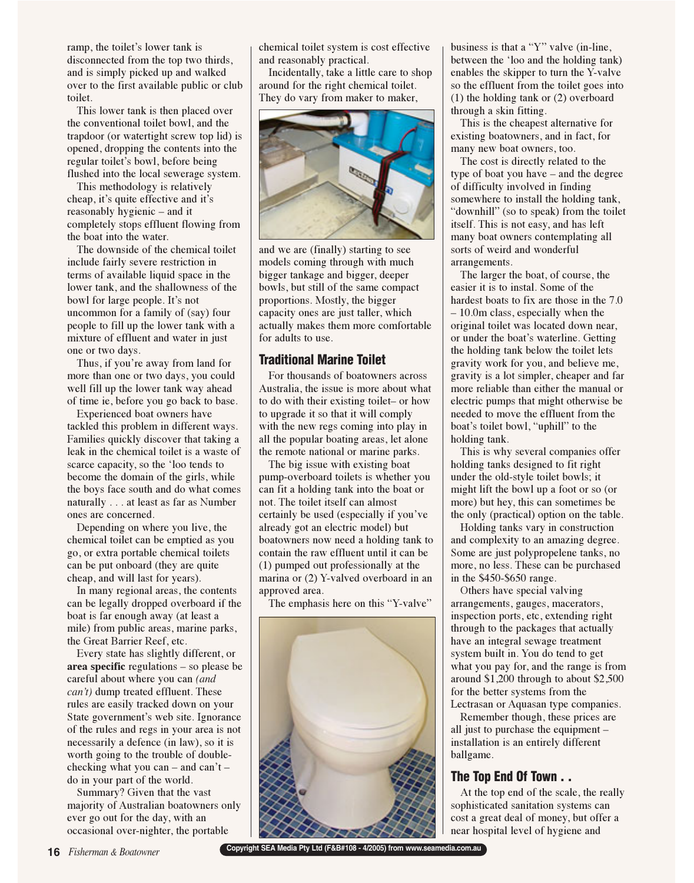ramp, the toilet's lower tank is disconnected from the top two thirds, and is simply picked up and walked over to the first available public or club toilet.

This lower tank is then placed over the conventional toilet bowl, and the trapdoor (or watertight screw top lid) is opened, dropping the contents into the regular toilet's bowl, before being flushed into the local sewerage system.

This methodology is relatively cheap, it's quite effective and it's reasonably hygienic – and it completely stops effluent flowing from the boat into the water.

The downside of the chemical toilet include fairly severe restriction in terms of available liquid space in the lower tank, and the shallowness of the bowl for large people. It's not uncommon for a family of (say) four people to fill up the lower tank with a mixture of effluent and water in just one or two days.

Thus, if you're away from land for more than one or two days, you could well fill up the lower tank way ahead of time ie, before you go back to base.

Experienced boat owners have tackled this problem in different ways. Families quickly discover that taking a leak in the chemical toilet is a waste of scarce capacity, so the 'loo tends to become the domain of the girls, while the boys face south and do what comes naturally . . . at least as far as Number ones are concerned.

Depending on where you live, the chemical toilet can be emptied as you go, or extra portable chemical toilets can be put onboard (they are quite cheap, and will last for years).

In many regional areas, the contents can be legally dropped overboard if the boat is far enough away (at least a mile) from public areas, marine parks, the Great Barrier Reef, etc.

Every state has slightly different, or **area specific** regulations – so please be careful about where you can *(and can't)* dump treated effluent. These rules are easily tracked down on your State government's web site. Ignorance of the rules and regs in your area is not necessarily a defence (in law), so it is worth going to the trouble of doublechecking what you can – and can't – do in your part of the world.

Summary? Given that the vast majority of Australian boatowners only ever go out for the day, with an occasional over-nighter, the portable

chemical toilet system is cost effective and reasonably practical.

Incidentally, take a little care to shop around for the right chemical toilet. They do vary from maker to maker,



and we are (finally) starting to see models coming through with much bigger tankage and bigger, deeper bowls, but still of the same compact proportions. Mostly, the bigger capacity ones are just taller, which actually makes them more comfortable for adults to use.

### Traditional Marine Toilet

For thousands of boatowners across Australia, the issue is more about what to do with their existing toilet– or how to upgrade it so that it will comply with the new regs coming into play in all the popular boating areas, let alone the remote national or marine parks.

The big issue with existing boat pump-overboard toilets is whether you can fit a holding tank into the boat or not. The toilet itself can almost certainly be used (especially if you've already got an electric model) but boatowners now need a holding tank to contain the raw effluent until it can be (1) pumped out professionally at the marina or (2) Y-valved overboard in an approved area.

The emphasis here on this "Y-valve"



business is that a "Y" valve (in-line, between the 'loo and the holding tank) enables the skipper to turn the Y-valve so the effluent from the toilet goes into (1) the holding tank or (2) overboard through a skin fitting.

This is the cheapest alternative for existing boatowners, and in fact, for many new boat owners, too.

The cost is directly related to the type of boat you have – and the degree of difficulty involved in finding somewhere to install the holding tank, "downhill" (so to speak) from the toilet itself. This is not easy, and has left many boat owners contemplating all sorts of weird and wonderful arrangements.

The larger the boat, of course, the easier it is to instal. Some of the hardest boats to fix are those in the 7.0 – 10.0m class, especially when the original toilet was located down near, or under the boat's waterline. Getting the holding tank below the toilet lets gravity work for you, and believe me, gravity is a lot simpler, cheaper and far more reliable than either the manual or electric pumps that might otherwise be needed to move the effluent from the boat's toilet bowl, "uphill" to the holding tank.

This is why several companies offer holding tanks designed to fit right under the old-style toilet bowls; it might lift the bowl up a foot or so (or more) but hey, this can sometimes be the only (practical) option on the table.

Holding tanks vary in construction and complexity to an amazing degree. Some are just polypropelene tanks, no more, no less. These can be purchased in the \$450-\$650 range.

Others have special valving arrangements, gauges, macerators, inspection ports, etc, extending right through to the packages that actually have an integral sewage treatment system built in. You do tend to get what you pay for, and the range is from around \$1,200 through to about \$2,500 for the better systems from the Lectrasan or Aquasan type companies.

Remember though, these prices are all just to purchase the equipment – installation is an entirely different ballgame.

## The Top End Of Town . .

At the top end of the scale, the really sophisticated sanitation systems can cost a great deal of money, but offer a near hospital level of hygiene and

**16** *Fisherman & Boatowner* **Copyright SEA Media Pty Ltd (F&B#108 - 4/2005) from www.seamedia.com.au**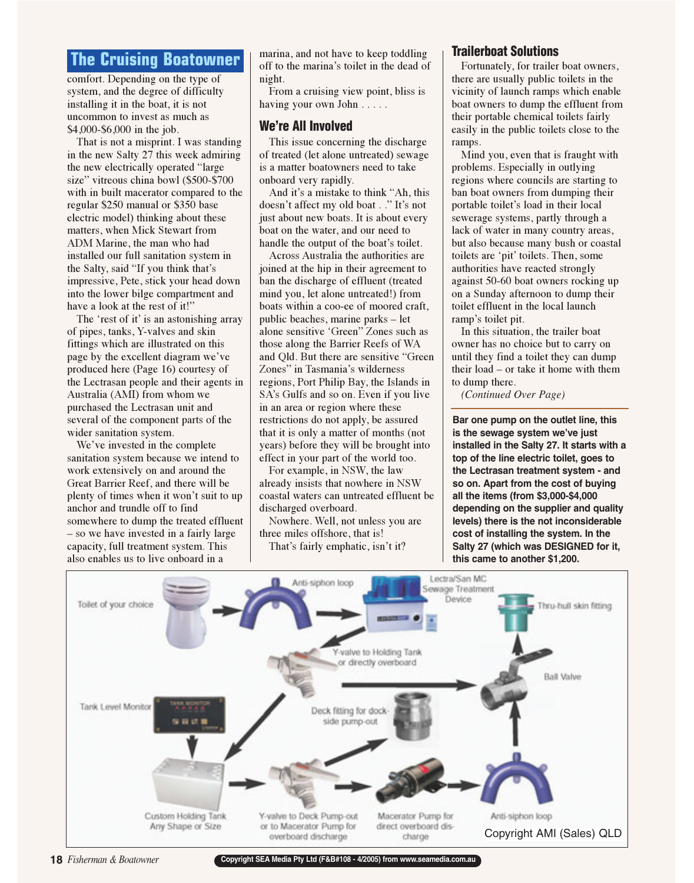**The Comfort.** Depending on the type of system, and the degree of difficulty installing it in the boat, it is not uncommon to invest as much as \$4,000-\$6,000 in the job.

That is not a misprint. I was standing in the new Salty 27 this week admiring the new electrically operated "large size" vitreous china bowl (\$500-\$700 with in built macerator compared to the regular \$250 manual or \$350 base electric model) thinking about these matters, when Mick Stewart from ADM Marine, the man who had installed our full sanitation system in the Salty, said "If you think that's impressive, Pete, stick your head down into the lower bilge compartment and have a look at the rest of it!"

The 'rest of it' is an astonishing array of pipes, tanks, Y-valves and skin fittings which are illustrated on this page by the excellent diagram we've produced here (Page 16) courtesy of the Lectrasan people and their agents in Australia (AMI) from whom we purchased the Lectrasan unit and several of the component parts of the wider sanitation system.

We've invested in the complete sanitation system because we intend to work extensively on and around the Great Barrier Reef, and there will be plenty of times when it won't suit to up anchor and trundle off to find somewhere to dump the treated effluent – so we have invested in a fairly large capacity, full treatment system. This also enables us to live onboard in a

marina, and not have to keep toddling off to the marina's toilet in the dead of night.

From a cruising view point, bliss is having your own John . . . . .

### We're All Involved

This issue concerning the discharge of treated (let alone untreated) sewage is a matter boatowners need to take onboard very rapidly.

And it's a mistake to think "Ah, this doesn't affect my old boat . ." It's not just about new boats. It is about every boat on the water, and our need to handle the output of the boat's toilet.

Across Australia the authorities are joined at the hip in their agreement to ban the discharge of effluent (treated mind you, let alone untreated!) from boats within a coo-ee of moored craft, public beaches, marine parks – let alone sensitive 'Green" Zones such as those along the Barrier Reefs of WA and Qld. But there are sensitive "Green Zones" in Tasmania's wilderness regions, Port Philip Bay, the Islands in SA's Gulfs and so on. Even if you live in an area or region where these restrictions do not apply, be assured that it is only a matter of months (not years) before they will be brought into effect in your part of the world too.

For example, in NSW, the law already insists that nowhere in NSW coastal waters can untreated effluent be discharged overboard.

Nowhere. Well, not unless you are three miles offshore, that is! That's fairly emphatic, isn't it?

### Trailerboat Solutions

Fortunately, for trailer boat owners, there are usually public toilets in the vicinity of launch ramps which enable boat owners to dump the effluent from their portable chemical toilets fairly easily in the public toilets close to the ramps.

Mind you, even that is fraught with problems. Especially in outlying regions where councils are starting to ban boat owners from dumping their portable toilet's load in their local sewerage systems, partly through a lack of water in many country areas, but also because many bush or coastal toilets are 'pit' toilets. Then, some authorities have reacted strongly against 50-60 boat owners rocking up on a Sunday afternoon to dump their toilet effluent in the local launch ramp's toilet pit.

In this situation, the trailer boat owner has no choice but to carry on until they find a toilet they can dump their load – or take it home with them to dump there.

*(Continued Over Page)* 

**Bar one pump on the outlet line, this is the sewage system we've just installed in the Salty 27. It starts with a top of the line electric toilet, goes to the Lectrasan treatment system - and so on. Apart from the cost of buying all the items (from \$3,000-\$4,000 depending on the supplier and quality levels) there is the not inconsiderable cost of installing the system. In the Salty 27 (which was DESIGNED for it, this came to another \$1,200.**